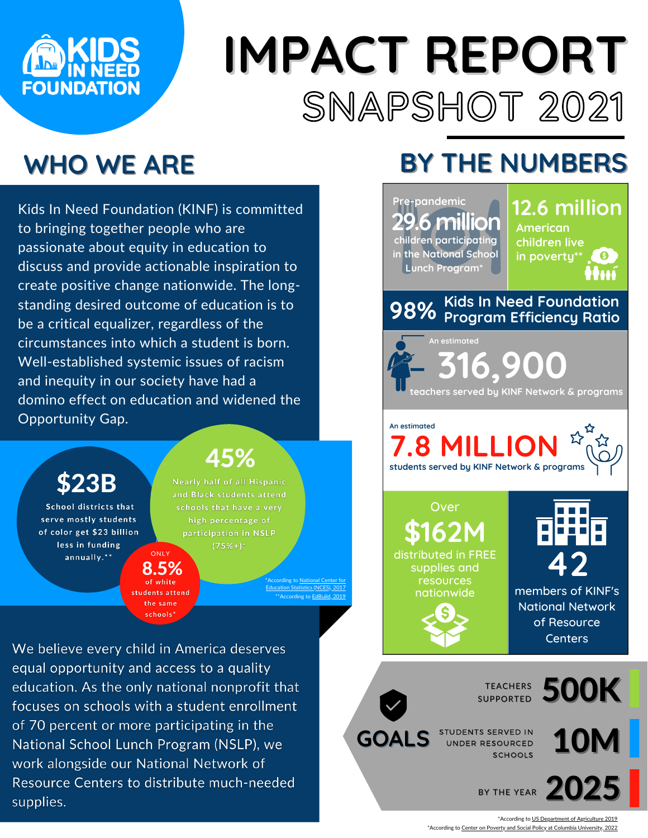

# **IMPACT REPORT** SNAPSHOT 2021

## **WHO WE ARE**

Kids In Need Foundation (KINF) is committed to bringing together people who are passionate about equity in education to discuss and provide actionable inspiration to create positive change nationwide. The longstanding desired outcome of education is to be a critical equalizer, regardless of the circumstances into which a student is born. Well-established systemic issues of racism and inequity in our society have had a domino effect on education and widened the Opportunity Gap.

\$23B

School districts that serve mostly students of color get \$23 billion less in funding annually.\*\*

### 45%

Nearly half of all Hispanic and Black students attend schools that have a very high percentage of participation in NSLP  $(75\%)^*$ ONLY

> [\\*According](https://nces.ed.gov/programs/digest/d19/tables/dt19_216.60.asp) to National Center for Education Statistics (NCES), 2017 cording to EdBu

We believe every child in America deserves equal opportunity and access to a quality education. As the only national nonprofit that focuses on schools with a student enrollment of 70 percent or more participating in the National School Lunch Program (NSLP), we work alongside our National Network of Resource Centers to distribute much-needed supplies.

8.5%

students attend the same schools\*

## **BY THE NUMBERS**

| Pre-pandemic<br>29.6 million<br>children participating<br>in the National School<br>Lunch Program <sup>*</sup> | <b>12.6 million</b><br><b>American</b><br>children live<br>in poverty** (9)<br>ttuí |
|----------------------------------------------------------------------------------------------------------------|-------------------------------------------------------------------------------------|
| 98% Kids In Need Foundation<br>98% Program Efficiency Ratio                                                    |                                                                                     |
| An estimated<br><b>316.900</b><br>teachers served by KINF Network & programs                                   |                                                                                     |
| An estimated<br>$\Sigma$<br><b>7.8 MILLION</b><br>students served by KINF Network & programs                   |                                                                                     |
| Over<br><b>\$162M</b><br>distributed in FREE<br>supplies and<br>resources<br>nationwide                        | members of KINF's<br><b>National Network</b><br>of Resource<br><b>Centers</b>       |
| <b>500K</b><br><b>TEACHERS</b><br><b>SUPPORTED</b>                                                             |                                                                                     |
| STUDENTS SERVED IN<br><b>10M</b><br><b>GOALS</b><br><b>UNDER RESOURCED</b><br><b>SCHOOLS</b>                   |                                                                                     |
| BY THE YEAR 2025                                                                                               |                                                                                     |

\*According to US [Department](https://www.fns.usda.gov/nslp) of Agriculture 2019 \*According to Center on Poverty and Social Policy at Columbia [University,](https://www.povertycenter.columbia.edu/news-internal/monthly-poverty-january-2022) 2022